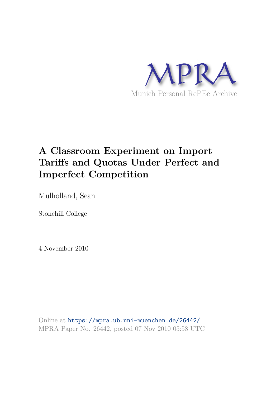

# **A Classroom Experiment on Import Tariffs and Quotas Under Perfect and Imperfect Competition**

Mulholland, Sean

Stonehill College

4 November 2010

Online at https://mpra.ub.uni-muenchen.de/26442/ MPRA Paper No. 26442, posted 07 Nov 2010 05:58 UTC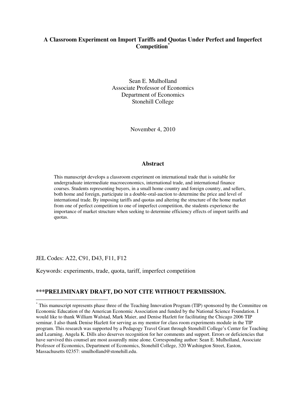#### **A Classroom Experiment on Import Tariffs and Quotas Under Perfect and Imperfect Competition\***

Sean E. Mulholland Associate Professor of Economics Department of Economics Stonehill College

November 4, 2010

#### **Abstract**

This manuscript develops a classroom experiment on international trade that is suitable for undergraduate intermediate macroeconomics, international trade, and international finance courses. Students representing buyers, in a small home country and foreign country, and sellers, both home and foreign, participate in a double-oral-auction to determine the price and level of international trade. By imposing tariffs and quotas and altering the structure of the home market from one of perfect competition to one of imperfect competition, the students experience the importance of market structure when seeking to determine efficiency effects of import tariffs and quotas.

JEL Codes: A22, C91, D43, F11, F12

<u>.</u>

Keywords: experiments, trade, quota, tariff, imperfect competition

#### **\*\*\*PRELIMINARY DRAFT, DO NOT CITE WITHOUT PERMISSION.**

<sup>\*</sup> This manuscript represents phase three of the Teaching Innovation Program (TIP) sponsored by the Committee on Economic Education of the American Economic Association and funded by the National Science Foundation. I would like to thank William Walstad, Mark Maier, and Denise Hazlett for facilitating the Chicago 2006 TIP seminar. I also thank Denise Hazlett for serving as my mentor for class room experiments module in the TIP program. This research was supported by a Pedagogy Travel Grant through Stonehill College's Center for Teaching and Learning. Angela K. Dills also deserves recognition for her comments and support. Errors or deficiencies that have survived this counsel are most assuredly mine alone. Corresponding author: Sean E. Mulholland, Associate Professor of Economics, Department of Economics, Stonehill College, 320 Washington Street, Easton, Massachusetts 02357: smulholland@stonehill.edu.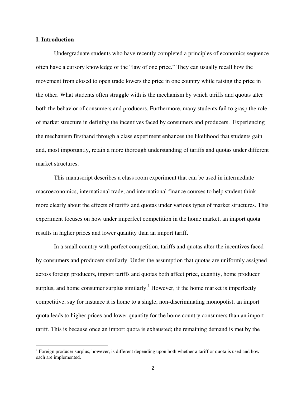#### **I. Introduction**

 $\overline{a}$ 

 Undergraduate students who have recently completed a principles of economics sequence often have a cursory knowledge of the "law of one price." They can usually recall how the movement from closed to open trade lowers the price in one country while raising the price in the other. What students often struggle with is the mechanism by which tariffs and quotas alter both the behavior of consumers and producers. Furthermore, many students fail to grasp the role of market structure in defining the incentives faced by consumers and producers. Experiencing the mechanism firsthand through a class experiment enhances the likelihood that students gain and, most importantly, retain a more thorough understanding of tariffs and quotas under different market structures.

 This manuscript describes a class room experiment that can be used in intermediate macroeconomics, international trade, and international finance courses to help student think more clearly about the effects of tariffs and quotas under various types of market structures. This experiment focuses on how under imperfect competition in the home market, an import quota results in higher prices and lower quantity than an import tariff.

 In a small country with perfect competition, tariffs and quotas alter the incentives faced by consumers and producers similarly. Under the assumption that quotas are uniformly assigned across foreign producers, import tariffs and quotas both affect price, quantity, home producer surplus, and home consumer surplus similarly.<sup>1</sup> However, if the home market is imperfectly competitive, say for instance it is home to a single, non-discriminating monopolist, an import quota leads to higher prices and lower quantity for the home country consumers than an import tariff. This is because once an import quota is exhausted; the remaining demand is met by the

<sup>&</sup>lt;sup>1</sup> Foreign producer surplus, however, is different depending upon both whether a tariff or quota is used and how each are implemented.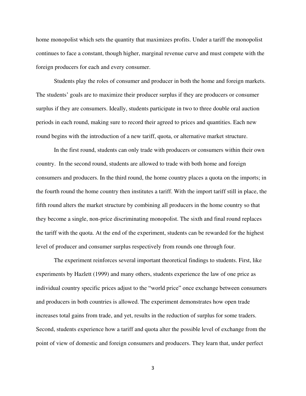home monopolist which sets the quantity that maximizes profits. Under a tariff the monopolist continues to face a constant, though higher, marginal revenue curve and must compete with the foreign producers for each and every consumer.

 Students play the roles of consumer and producer in both the home and foreign markets. The students' goals are to maximize their producer surplus if they are producers or consumer surplus if they are consumers. Ideally, students participate in two to three double oral auction periods in each round, making sure to record their agreed to prices and quantities. Each new round begins with the introduction of a new tariff, quota, or alternative market structure.

In the first round, students can only trade with producers or consumers within their own country. In the second round, students are allowed to trade with both home and foreign consumers and producers. In the third round, the home country places a quota on the imports; in the fourth round the home country then institutes a tariff. With the import tariff still in place, the fifth round alters the market structure by combining all producers in the home country so that they become a single, non-price discriminating monopolist. The sixth and final round replaces the tariff with the quota. At the end of the experiment, students can be rewarded for the highest level of producer and consumer surplus respectively from rounds one through four.

 The experiment reinforces several important theoretical findings to students. First, like experiments by Hazlett (1999) and many others, students experience the law of one price as individual country specific prices adjust to the "world price" once exchange between consumers and producers in both countries is allowed. The experiment demonstrates how open trade increases total gains from trade, and yet, results in the reduction of surplus for some traders. Second, students experience how a tariff and quota alter the possible level of exchange from the point of view of domestic and foreign consumers and producers. They learn that, under perfect

3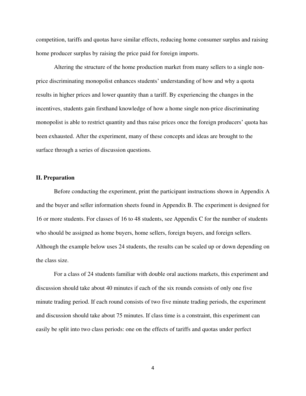competition, tariffs and quotas have similar effects, reducing home consumer surplus and raising home producer surplus by raising the price paid for foreign imports.

 Altering the structure of the home production market from many sellers to a single nonprice discriminating monopolist enhances students' understanding of how and why a quota results in higher prices and lower quantity than a tariff. By experiencing the changes in the incentives, students gain firsthand knowledge of how a home single non-price discriminating monopolist is able to restrict quantity and thus raise prices once the foreign producers' quota has been exhausted. After the experiment, many of these concepts and ideas are brought to the surface through a series of discussion questions.

#### **II. Preparation**

Before conducting the experiment, print the participant instructions shown in Appendix A and the buyer and seller information sheets found in Appendix B. The experiment is designed for 16 or more students. For classes of 16 to 48 students, see Appendix C for the number of students who should be assigned as home buyers, home sellers, foreign buyers, and foreign sellers. Although the example below uses 24 students, the results can be scaled up or down depending on the class size.

For a class of 24 students familiar with double oral auctions markets, this experiment and discussion should take about 40 minutes if each of the six rounds consists of only one five minute trading period. If each round consists of two five minute trading periods, the experiment and discussion should take about 75 minutes. If class time is a constraint, this experiment can easily be split into two class periods: one on the effects of tariffs and quotas under perfect

4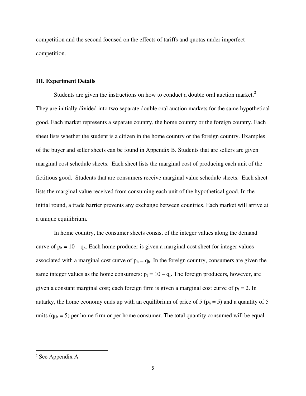competition and the second focused on the effects of tariffs and quotas under imperfect competition.

#### **III. Experiment Details**

Students are given the instructions on how to conduct a double oral auction market. $2$ They are initially divided into two separate double oral auction markets for the same hypothetical good. Each market represents a separate country, the home country or the foreign country. Each sheet lists whether the student is a citizen in the home country or the foreign country. Examples of the buyer and seller sheets can be found in Appendix B. Students that are sellers are given marginal cost schedule sheets. Each sheet lists the marginal cost of producing each unit of the fictitious good. Students that are consumers receive marginal value schedule sheets. Each sheet lists the marginal value received from consuming each unit of the hypothetical good. In the initial round, a trade barrier prevents any exchange between countries. Each market will arrive at a unique equilibrium.

In home country, the consumer sheets consist of the integer values along the demand curve of  $p_h = 10 - q_h$ . Each home producer is given a marginal cost sheet for integer values associated with a marginal cost curve of  $p_h = q_h$ . In the foreign country, consumers are given the same integer values as the home consumers:  $p_f = 10 - q_f$ . The foreign producers, however, are given a constant marginal cost; each foreign firm is given a marginal cost curve of  $p_f = 2$ . In autarky, the home economy ends up with an equilibrium of price of 5 ( $p_h = 5$ ) and a quantity of 5 units  $(q_{i,h} = 5)$  per home firm or per home consumer. The total quantity consumed will be equal

<u>.</u>

<sup>&</sup>lt;sup>2</sup> See Appendix A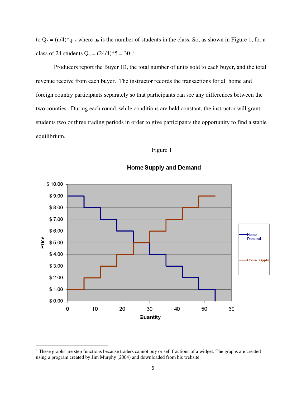to  $Q_h = (n/4)^* q_{i,h}$  where  $n_h$  is the number of students in the class. So, as shown in Figure 1, for a class of 24 students  $Q_h = (24/4)^* 5 = 30.^3$ 

Producers report the Buyer ID, the total number of units sold to each buyer, and the total revenue receive from each buyer. The instructor records the transactions for all home and foreign country participants separately so that participants can see any differences between the two counties. During each round, while conditions are held constant, the instructor will grant students two or three trading periods in order to give participants the opportunity to find a stable equilibrium.

#### Figure 1



#### **Home Supply and Demand**

<u>.</u>

<sup>&</sup>lt;sup>3</sup> These graphs are step functions because traders cannot buy or sell fractions of a widget. The graphs are created using a program created by Jim Murphy (2004) and downloaded from his website.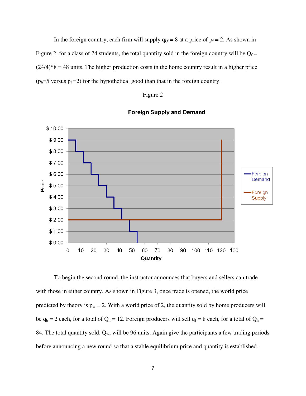In the foreign country, each firm will supply  $q_{i,f} = 8$  at a price of  $p_f = 2$ . As shown in Figure 2, for a class of 24 students, the total quantity sold in the foreign country will be  $Q_f$  =  $(24/4)*8 = 48$  units. The higher production costs in the home country result in a higher price  $(p_h=5 \text{ versus } p_f=2)$  for the hypothetical good than that in the foreign country.

#### Figure 2



**Foreign Supply and Demand** 

To begin the second round, the instructor announces that buyers and sellers can trade with those in either country. As shown in Figure 3, once trade is opened, the world price predicted by theory is  $p_w = 2$ . With a world price of 2, the quantity sold by home producers will be  $q_h = 2$  each, for a total of  $Q_h = 12$ . Foreign producers will sell  $q_f = 8$  each, for a total of  $Q_h =$ 84. The total quantity sold,  $Q_w$ , will be 96 units. Again give the participants a few trading periods before announcing a new round so that a stable equilibrium price and quantity is established.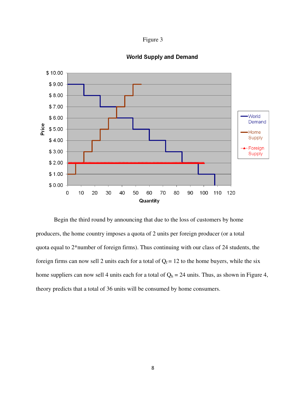



## **World Supply and Demand**

 Begin the third round by announcing that due to the loss of customers by home producers, the home country imposes a quota of 2 units per foreign producer (or a total quota equal to 2\*number of foreign firms). Thus continuing with our class of 24 students, the foreign firms can now sell 2 units each for a total of  $Q_f = 12$  to the home buyers, while the six home suppliers can now sell 4 units each for a total of  $Q_h = 24$  units. Thus, as shown in Figure 4, theory predicts that a total of 36 units will be consumed by home consumers.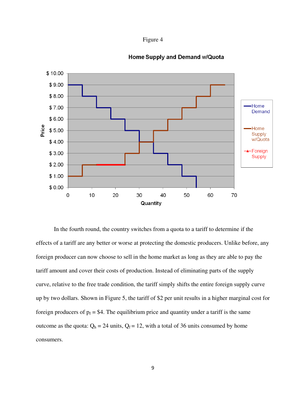



#### **Home Supply and Demand w/Quota**

In the fourth round, the country switches from a quota to a tariff to determine if the effects of a tariff are any better or worse at protecting the domestic producers. Unlike before, any foreign producer can now choose to sell in the home market as long as they are able to pay the tariff amount and cover their costs of production. Instead of eliminating parts of the supply curve, relative to the free trade condition, the tariff simply shifts the entire foreign supply curve up by two dollars. Shown in Figure 5, the tariff of \$2 per unit results in a higher marginal cost for foreign producers of  $p_f = $4$ . The equilibrium price and quantity under a tariff is the same outcome as the quota:  $Q_h = 24$  units,  $Q_f = 12$ , with a total of 36 units consumed by home consumers.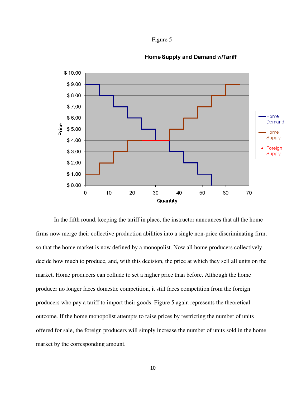



#### **Home Supply and Demand w/Tariff**

 In the fifth round, keeping the tariff in place, the instructor announces that all the home firms now merge their collective production abilities into a single non-price discriminating firm, so that the home market is now defined by a monopolist. Now all home producers collectively decide how much to produce, and, with this decision, the price at which they sell all units on the market. Home producers can collude to set a higher price than before. Although the home producer no longer faces domestic competition, it still faces competition from the foreign producers who pay a tariff to import their goods. Figure 5 again represents the theoretical outcome. If the home monopolist attempts to raise prices by restricting the number of units offered for sale, the foreign producers will simply increase the number of units sold in the home market by the corresponding amount.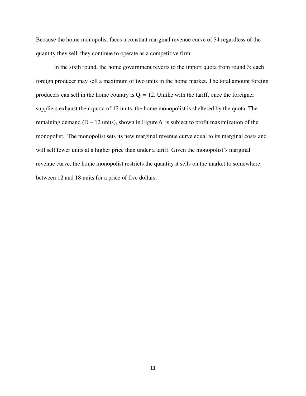Because the home monopolist faces a constant marginal revenue curve of \$4 regardless of the quantity they sell, they continue to operate as a competitive firm.

In the sixth round, the home government reverts to the import quota from round 3: each foreign producer may sell a maximum of two units in the home market. The total amount foreign producers can sell in the home country is  $Q_f = 12$ . Unlike with the tariff, once the foreigner suppliers exhaust their quota of 12 units, the home monopolist is sheltered by the quota. The remaining demand  $(D - 12 \text{ units})$ , shown in Figure 6, is subject to profit maximization of the monopolist. The monopolist sets its new marginal revenue curve equal to its marginal costs and will sell fewer units at a higher price than under a tariff. Given the monopolist's marginal revenue curve, the home monopolist restricts the quantity it sells on the market to somewhere between 12 and 18 units for a price of five dollars.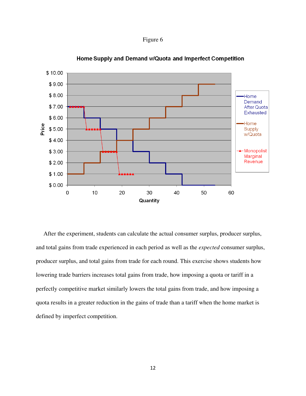Figure 6



Home Supply and Demand w/Quota and Imperfect Competition

 After the experiment, students can calculate the actual consumer surplus, producer surplus, and total gains from trade experienced in each period as well as the *expected* consumer surplus, producer surplus, and total gains from trade for each round. This exercise shows students how lowering trade barriers increases total gains from trade, how imposing a quota or tariff in a perfectly competitive market similarly lowers the total gains from trade, and how imposing a quota results in a greater reduction in the gains of trade than a tariff when the home market is defined by imperfect competition.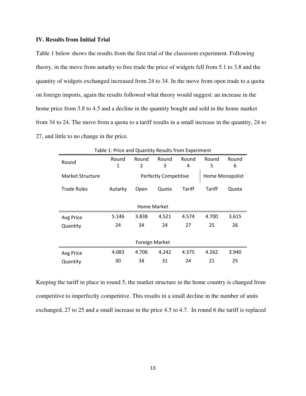#### **IV. Results from Initial Trial**

Table 1 below shows the results from the first trial of the classroom experiment. Following theory, in the move from autarky to free trade the price of widgets fell from 5.1 to 3.8 and the quantity of widgets exchanged increased from 24 to 34. In the move from open trade to a quota on foreign imports, again the results followed what theory would suggest: an increase in the home price from 3.8 to 4.5 and a decline in the quantity bought and sold in the home market from 34 to 24. The move from a quota to a tariff results in a small increase in the quantity, 24 to 27, and little to no change in the price.

|                  | Table 1: Price and Quantity Results from Experiment |                |                       |        |        |                 |
|------------------|-----------------------------------------------------|----------------|-----------------------|--------|--------|-----------------|
| Round            | Round                                               | Round          | Round                 | Round  | Round  | Round           |
|                  | 1                                                   | 2              | 3                     | 4      | 5      | 6               |
| Market Structure |                                                     |                | Perfectly Competitive |        |        | Home Monopolist |
| Trade Rules      | Autarky                                             | Open           | Quota                 | Tariff | Tariff | Quota           |
|                  |                                                     |                |                       |        |        |                 |
|                  |                                                     | Home Market    |                       |        |        |                 |
| Avg Price        | 5.146                                               | 3.838          | 4.521                 | 4.574  | 4.700  | 3.615           |
| Quantity         | 24                                                  | 34             | 24                    | 27     | 25     | 26              |
|                  |                                                     |                |                       |        |        |                 |
|                  |                                                     | Foreign Market |                       |        |        |                 |
| Avg Price        | 4.083                                               | 4.706          | 4.242                 | 4.375  | 4.262  | 3.940           |
| Quantity         | 30                                                  | 34             | 31                    | 24     | 21     | 25              |

Table 1: Price and Quantity Results from Experiment

Keeping the tariff in place in round 5, the market structure in the home country is changed from competitive to imperfectly competitive. This results in a small decline in the number of units exchanged, 27 to 25 and a small increase in the price 4.5 to 4.7. In round 6 the tariff is replaced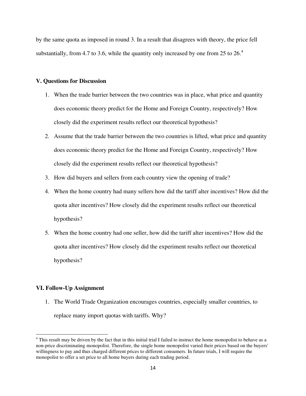by the same quota as imposed in round 3. In a result that disagrees with theory, the price fell substantially, from 4.7 to 3.6, while the quantity only increased by one from 25 to  $26<sup>4</sup>$ 

#### **V. Questions for Discussion**

- 1. When the trade barrier between the two countries was in place, what price and quantity does economic theory predict for the Home and Foreign Country, respectively? How closely did the experiment results reflect our theoretical hypothesis?
- 2. Assume that the trade barrier between the two countries is lifted, what price and quantity does economic theory predict for the Home and Foreign Country, respectively? How closely did the experiment results reflect our theoretical hypothesis?
- 3. How did buyers and sellers from each country view the opening of trade?
- 4. When the home country had many sellers how did the tariff alter incentives? How did the quota alter incentives? How closely did the experiment results reflect our theoretical hypothesis?
- 5. When the home country had one seller, how did the tariff alter incentives? How did the quota alter incentives? How closely did the experiment results reflect our theoretical hypothesis?

#### **VI. Follow-Up Assignment**

 $\overline{a}$ 

1. The World Trade Organization encourages countries, especially smaller countries, to replace many import quotas with tariffs. Why?

<sup>&</sup>lt;sup>4</sup> This result may be driven by the fact that in this initial trial I failed to instruct the home monopolist to behave as a non-price discriminating monopolist. Therefore, the single home monopolist varied their prices based on the buyers' willingness to pay and thus charged different prices to different consumers. In future trials, I will require the monopolist to offer a set price to all home buyers during each trading period.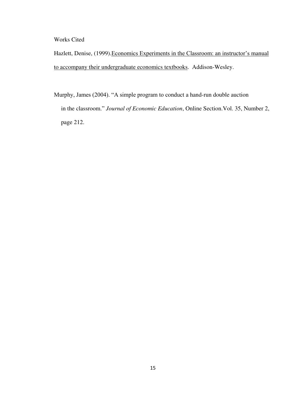Works Cited

Hazlett, Denise, (1999).Economics Experiments in the Classroom: an instructor's manual to accompany their undergraduate economics textbooks. Addison-Wesley.

Murphy, James (2004). "A simple program to conduct a hand-run double auction in the classroom." *Journal of Economic Education*, Online Section.Vol. 35, Number 2, page 212.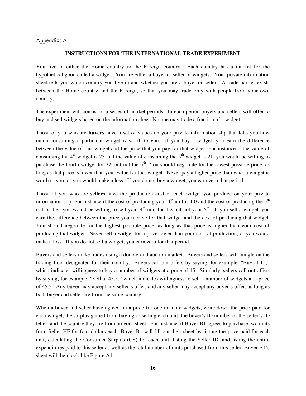#### Appendix: A

#### **INSTRUCTIONS FOR THE INTERNATIONAL TRADE EXPERIMENT**

You live in either the Home country or the Foreign country. Each country has a market for the hypothetical good called a widget. You are either a buyer or seller of widgets. Your private information sheet tells you which country you live in and whether you are a buyer or seller. A trade barrier exists between the Home country and the Foreign, so that you may trade only with people from your own country.

The experiment will consist of a series of market periods. In each period buyers and sellers will offer to buy and sell widgets based on the information sheet. No one may trade a fraction of a widget.

Those of you who are **buyers** have a set of values on your private information slip that tells you how much consuming a particular widget is worth to you. If you buy a widget, you earn the difference between the value of this widget and the price that you pay for that widget. For instance if the value of consuming the  $4<sup>th</sup>$  widget is 25 and the value of consuming the  $5<sup>th</sup>$  widget is 21, you would be willing to purchase the fourth widget for 22, but not the  $5<sup>th</sup>$ . You should negotiate for the lowest possible price, as long as that price is lower than your value for that widget. Never pay a higher price than what a widget is worth to you, or you would make a loss. If you do not buy a widget, you earn zero that period.

Those of you who are **sellers** have the production cost of each widget you produce on your private information slip. For instance if the cost of producing your  $4<sup>th</sup>$  unit is 1.0 and the cost of producing the  $5<sup>th</sup>$ is 1.5, then you would be willing to sell your  $4<sup>th</sup>$  unit for 1.2 but not your  $5<sup>th</sup>$ . If you sell a widget, you earn the difference between the price you receive for that widget and the cost of producing that widget. You should negotiate for the highest possible price, as long as that price is higher than your cost of producing that widget. Never sell a widget for a price lower than your cost of production, or you would make a loss. If you do not sell a widget, you earn zero for that period.

Buyers and sellers make trades using a double oral auction market. Buyers and sellers will mingle on the trading floor designated for their country. Buyers call out offers by saying, for example, "Buy at 15," which indicates willingness to buy a number of widgets at a price of 15. Similarly, sellers call out offers by saying, for example, "Sell at 45.5," which indicates willingness to sell a number of widgets at a price of 45.5. Any buyer may accept any seller's offer, and any seller may accept any buyer's offer, as long as both buyer and seller are from the same country.

When a buyer and seller have agreed on a price for one or more widgets, write down the price paid for each widget, the surplus gained from buying or selling each unit, the buyer's ID number or the seller's ID letter, and the country they are from on your sheet. For instance, if Buyer B1 agrees to purchase two units from Seller HF for four dollars each, Buyer B1 will fill out their sheet by listing the price paid for each unit, calculating the Consumer Surplus (CS) for each unit, listing the Seller ID, and listing the entire expenditures paid to this seller as well as the total number of units purchased from this seller. Buyer B1's sheet will then look like Figure A1.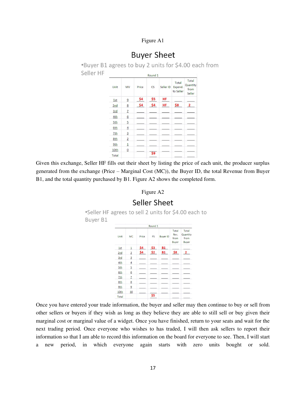Figure A1

# **Buyer Sheet**

\*Buyer B1 agrees to buy 2 units for \$4.00 each from Seller HF

|       |                 |       | Round <sub>1</sub> |           |                               |                                     |
|-------|-----------------|-------|--------------------|-----------|-------------------------------|-------------------------------------|
| Unit  | <b>MV</b>       | Price | CS                 | Seller ID | Total<br>Expend.<br>to Seller | Total<br>Quantity<br>from<br>Seller |
| 1st   | $\overline{6}$  | \$4   | \$5                | HF        |                               |                                     |
| 2nd   | 8               | \$4   | \$4                | HF        | \$8                           | $\mathbf{z}$                        |
| 3rd   | $\overline{1}$  |       |                    |           |                               |                                     |
| 4th   | $\underline{6}$ |       |                    |           |                               |                                     |
| 5th   | $\overline{5}$  |       |                    |           |                               |                                     |
| 6th   | $\overline{4}$  |       |                    |           |                               |                                     |
| 7th   | $\overline{3}$  |       |                    |           |                               |                                     |
| 8th   | $\overline{2}$  |       |                    |           |                               |                                     |
| 9th   | $\overline{1}$  |       |                    |           |                               |                                     |
| 10th  | $\overline{0}$  |       | \$9                |           |                               |                                     |
| Total |                 |       |                    |           |                               |                                     |

Given this exchange, Seller HF fills out their sheet by listing the price of each unit, the producer surplus generated from the exchange (Price – Marginal Cost (MC)), the Buyer ID, the total Revenue from Buyer B1, and the total quantity purchased by B1. Figure A2 shows the completed form.

#### Figure A2

# Seller Sheet

\*Seller HF agrees to sell 2 units for \$4.00 each to Buyer B1

|       |                |       | Round 1 |                 |                                |                                           |
|-------|----------------|-------|---------|-----------------|--------------------------------|-------------------------------------------|
| Unit  | <b>MC</b>      | Price | PS      | <b>Buyer ID</b> | Total<br>Rev.<br>from<br>Buyer | Total<br>Quantity<br>from<br><b>Buyer</b> |
| 1st   | $\overline{1}$ | \$4   | \$3     | <b>B1</b>       |                                |                                           |
| 2nd   | $\overline{2}$ | \$4   | \$2     | <b>B1</b>       | \$8                            | $\overline{2}$                            |
| 3rd   | $\overline{3}$ |       |         |                 |                                |                                           |
| 4th   | $\overline{4}$ |       |         |                 |                                |                                           |
| 5th   | $\overline{5}$ |       |         |                 |                                |                                           |
| 6th   | 6              |       |         |                 |                                |                                           |
| 7th   | $\overline{1}$ |       |         |                 |                                |                                           |
| 8th   | 8              |       |         |                 |                                |                                           |
| 9th   | 9              |       |         |                 |                                |                                           |
| 10th  | 10             |       |         |                 |                                |                                           |
| Total |                |       | \$5     |                 |                                |                                           |

Once you have entered your trade information, the buyer and seller may then continue to buy or sell from other sellers or buyers if they wish as long as they believe they are able to still sell or buy given their marginal cost or marginal value of a widget. Once you have finished, return to your seats and wait for the next trading period. Once everyone who wishes to has traded, I will then ask sellers to report their information so that I am able to record this information on the board for everyone to see. Then, I will start a new period, in which everyone again starts with zero units bought or sold.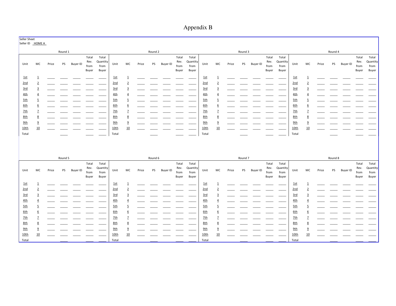Appendix B

| Seller Sheet    | Seller ID HOME A |       |         |                 |                                |                                    |       |                         |       |         |          |                                |                                    |       |                         |       |         |          |                                |                                           |       |                |       |         |          |                                |                                    |
|-----------------|------------------|-------|---------|-----------------|--------------------------------|------------------------------------|-------|-------------------------|-------|---------|----------|--------------------------------|------------------------------------|-------|-------------------------|-------|---------|----------|--------------------------------|-------------------------------------------|-------|----------------|-------|---------|----------|--------------------------------|------------------------------------|
|                 |                  |       | Round 1 |                 |                                |                                    |       |                         |       | Round 2 |          |                                |                                    |       |                         |       | Round 3 |          |                                |                                           |       |                |       | Round 4 |          |                                |                                    |
| Unit            | МC               | Price | PS      | <b>Buyer ID</b> | Total<br>Rev.<br>from<br>Buyer | Total<br>Quantity<br>from<br>Buyer | Unit  | MC                      | Price | PS      | Buyer ID | Total<br>Rev.<br>from<br>Buyer | Total<br>Quantity<br>from<br>Buyer | Unit  | MC                      | Price | PS      | Buyer ID | Total<br>Rev.<br>from<br>Buyer | Total<br><b>Quantity</b><br>from<br>Buyer | Unit  | MC             | Price | PS      | Buyer ID | Total<br>Rev.<br>from<br>Buyer | Total<br>Quantity<br>from<br>Buyer |
| 1st             | $\overline{1}$   |       |         |                 |                                |                                    | 1st   | $\overline{\mathbf{1}}$ |       |         |          |                                |                                    | 1st   | $\overline{\mathbf{1}}$ |       |         |          |                                |                                           | 1st   | $\overline{1}$ |       |         |          |                                |                                    |
| 2nd             | $\overline{2}$   |       |         |                 |                                |                                    | 2nd   | 2                       |       |         |          |                                |                                    | 2nd   | $\overline{2}$          |       |         |          |                                |                                           | 2nd   |                |       |         |          |                                |                                    |
| 3rd             | 3                |       |         |                 |                                |                                    | 3rd   | 3                       |       |         |          |                                |                                    | 3rd   | 3                       |       |         |          |                                |                                           | 3rd   | 3              |       |         |          |                                |                                    |
| 4th             |                  |       |         |                 |                                |                                    | 4th   | 4                       |       |         |          |                                |                                    | 4th   | 4                       |       |         |          |                                |                                           | 4th   |                |       |         |          |                                |                                    |
| 5th             | 5                |       |         |                 |                                |                                    | 5th   | 5                       |       |         |          |                                |                                    | 5th   | 5                       |       |         |          |                                |                                           | 5th   | 5              |       |         |          |                                |                                    |
| 6th             | 6                |       |         |                 |                                |                                    | 6th   | 6                       |       |         |          |                                |                                    | 6th   | 6                       |       |         |          |                                |                                           | 6th   | 6              |       |         |          |                                |                                    |
| <u>7th</u>      | $\overline{7}$   |       |         |                 |                                |                                    | 7th   | 7                       |       |         |          |                                |                                    | 2th   | 7                       |       |         |          |                                |                                           | 2th   | 7              |       |         |          |                                |                                    |
| 8th             | 8                |       |         |                 |                                |                                    | 8th   | 8                       |       |         |          |                                |                                    | 8th   | 8                       |       |         |          |                                |                                           | 8th   | 8              |       |         |          |                                |                                    |
| 9th             | $\underline{9}$  |       |         |                 |                                |                                    | 9th   | $\overline{9}$          |       |         |          |                                |                                    | 9th   | $\overline{9}$          |       |         |          |                                |                                           | 9th   | 9              |       |         |          |                                |                                    |
| <u>10th</u>     | 10               |       |         |                 |                                |                                    | 10th  | 10                      |       |         |          |                                |                                    | 10th  | 10                      |       |         |          |                                |                                           | 10th  | 10             |       |         |          |                                |                                    |
| Total           |                  |       |         |                 |                                |                                    | Total |                         |       |         |          |                                |                                    | Total |                         |       |         |          |                                |                                           | Total |                |       |         |          |                                |                                    |
|                 |                  |       | Round 5 |                 |                                |                                    |       |                         |       | Round 6 |          |                                |                                    |       |                         |       | Round 7 |          |                                |                                           |       |                |       | Round 8 |          |                                |                                    |
| Unit            | МC               | Price | PS      | Buyer ID        | Total<br>Rev.<br>from<br>Buyer | Total<br>Quantity<br>from<br>Buyer | Unit  | MC                      | Price | PS      | Buyer ID | Total<br>Rev.<br>from<br>Buyer | Total<br>Quantity<br>from<br>Buyer | Unit  | MC                      | Price | PS      | Buyer ID | Total<br>Rev.<br>from<br>Buyer | Total<br>Quantity<br>from<br>Buyer        | Unit  | МC             | Price | PS      | Buyer ID | Total<br>Rev.<br>from<br>Buyer | Total<br>Quantity<br>from<br>Buyer |
| 1st             | $\overline{1}$   |       |         |                 |                                |                                    | 1st   | 1                       |       |         |          |                                |                                    | 1st   | 1                       |       |         |          |                                |                                           | 1st   | $\overline{1}$ |       |         |          |                                |                                    |
| 2nd             | $\overline{2}$   |       |         |                 |                                |                                    | 2nd   | $\overline{2}$          |       |         |          |                                |                                    | 2nd   | $\overline{2}$          |       |         |          |                                |                                           | 2nd   | $\overline{2}$ |       |         |          |                                |                                    |
| 3rd             | $\overline{3}$   |       |         |                 |                                |                                    | 3rd   | $\overline{3}$          |       |         |          |                                |                                    | 3rd   | $\overline{3}$          |       |         |          |                                |                                           | 3rd   | $\overline{3}$ |       |         |          |                                |                                    |
| 4th             | $\overline{4}$   |       |         |                 |                                |                                    | 4th   | 4                       |       |         |          |                                |                                    | 4th   | 4                       |       |         |          |                                |                                           | 4th   | $\overline{4}$ |       |         |          |                                |                                    |
| 5th             | 5                |       |         |                 |                                |                                    | 5th   |                         |       |         |          |                                |                                    | 5th   | 5                       |       |         |          |                                |                                           | 5th   |                |       |         |          |                                |                                    |
| 6 <sub>th</sub> | 6                |       |         |                 |                                |                                    | 6th   | 6                       |       |         |          |                                |                                    | 6th   | 6                       |       |         |          |                                |                                           | 6th   | 6              |       |         |          |                                |                                    |
| <b>7th</b>      | $\overline{1}$   |       |         |                 |                                |                                    | 2th   |                         |       |         |          |                                |                                    | 2th   |                         |       |         |          |                                |                                           | 7th   |                |       |         |          |                                |                                    |
| 8th             | 8                |       |         |                 |                                |                                    | 8th   |                         |       |         |          |                                |                                    | 8th   | 8                       |       |         |          |                                |                                           | 8th   | 8              |       |         |          |                                |                                    |
| 9th             | $\overline{9}$   |       |         |                 |                                |                                    | 9th   |                         |       |         |          |                                |                                    | 9th   |                         |       |         |          |                                |                                           | 9th   | $\overline{9}$ |       |         |          |                                |                                    |
| 10th            | 10               |       |         |                 |                                |                                    | 10th  | 10                      |       |         |          |                                |                                    | 10th  | 10                      |       |         |          |                                |                                           | 10th  | 10             |       |         |          |                                |                                    |
| Total           |                  |       |         |                 |                                |                                    | Total |                         |       |         |          |                                |                                    | Total |                         |       |         |          |                                |                                           | Total |                |       |         |          |                                |                                    |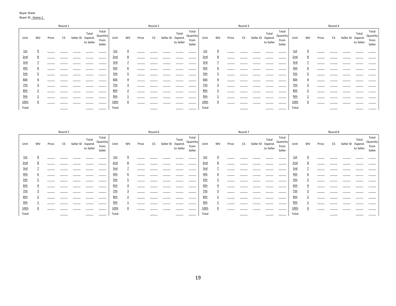|            |    |       | Round 1   |                                         |                                     |            |    |       | Round 2 |                                         |                                     |       |    |       | Round 3 |                                         |                                     |       |    |       | Round 4   |                                         |                                     |
|------------|----|-------|-----------|-----------------------------------------|-------------------------------------|------------|----|-------|---------|-----------------------------------------|-------------------------------------|-------|----|-------|---------|-----------------------------------------|-------------------------------------|-------|----|-------|-----------|-----------------------------------------|-------------------------------------|
| Unit       | MV | Price | <b>CS</b> | Total<br>Seller ID Expend.<br>to Seller | Total<br>Quantity<br>from<br>Seller | Unit       | MV | Price | CS      | Total<br>Seller ID Expend.<br>to Seller | Total<br>Quantity<br>from<br>Seller | Unit  | MV | Price | CS.     | Total<br>Seller ID Expend.<br>to Seller | Total<br>Quantity<br>from<br>Seller | Unit  | MV | Price | <b>CS</b> | Total<br>Seller ID Expend.<br>to Seller | Total<br>Quantity<br>from<br>Seller |
| 1st        |    |       |           |                                         |                                     | <u>1st</u> |    |       |         |                                         |                                     | 1st   |    |       |         |                                         |                                     | 1st   |    |       |           |                                         |                                     |
| 2nd        |    |       |           |                                         |                                     | <u>2nd</u> |    |       |         |                                         |                                     | 2nd   |    |       |         |                                         |                                     | 2nd   |    |       |           |                                         |                                     |
| 3rd        |    |       |           |                                         |                                     | 3rd        |    |       |         |                                         |                                     | 3rd   |    |       |         |                                         |                                     | 3rd   |    |       |           |                                         |                                     |
| 4th        |    |       |           |                                         |                                     | 4th        |    |       |         |                                         |                                     | 4th   |    |       |         |                                         |                                     | 4th   |    |       |           |                                         |                                     |
| 5th        |    |       |           |                                         |                                     | 5th        |    |       |         |                                         |                                     | 5th   |    |       |         |                                         |                                     | 5th   |    |       |           |                                         |                                     |
| <u>6th</u> |    |       |           |                                         |                                     | 6th        |    |       |         |                                         |                                     | 6th   |    |       |         |                                         |                                     | 6th   |    |       |           |                                         |                                     |
| <b>7th</b> |    |       |           |                                         |                                     | <b>7th</b> |    |       |         |                                         |                                     | 2th   |    |       |         |                                         |                                     | 7th   |    |       |           |                                         |                                     |
| <u>8th</u> |    |       |           |                                         |                                     | 8th        |    |       |         |                                         |                                     | 8th   |    |       |         |                                         |                                     | 8th   |    |       |           |                                         |                                     |
| 9th        |    |       |           |                                         |                                     | 9th        |    |       |         |                                         |                                     | 9th   |    |       |         |                                         |                                     | 9th   |    |       |           |                                         |                                     |
| 10th       |    |       |           |                                         |                                     | 10th       |    |       |         |                                         |                                     | 10th  |    |       |         |                                         |                                     | 10th  |    |       |           |                                         |                                     |
| Total      |    |       |           |                                         |                                     | Total      |    |       |         |                                         |                                     | Total |    |       |         |                                         |                                     | Total |    |       |           |                                         |                                     |

|            |    |       | Round 5   |                                         |                                     |            |    |       | Round 6 |                                         |                                     |       |    |       | Round 7 |                                         |                                     |            |    |       | Round 8 |                                         |                                     |
|------------|----|-------|-----------|-----------------------------------------|-------------------------------------|------------|----|-------|---------|-----------------------------------------|-------------------------------------|-------|----|-------|---------|-----------------------------------------|-------------------------------------|------------|----|-------|---------|-----------------------------------------|-------------------------------------|
| Unit       | MV | Price | <b>CS</b> | Total<br>Seller ID Expend.<br>to Seller | Total<br>Quantity<br>from<br>Seller | Unit       | MV | Price | CS      | Total<br>Seller ID Expend.<br>to Seller | Total<br>Quantity<br>from<br>Seller | Unit  | MV | Price | CS      | Total<br>Seller ID Expend.<br>to Seller | Total<br>Quantity<br>from<br>Seller | Unit       | MV | Price | CS      | Total<br>Seller ID Expend.<br>to Seller | Total<br>Quantity<br>from<br>Seller |
| <u>1st</u> |    |       |           |                                         |                                     | <u>1st</u> |    |       |         |                                         |                                     | 1st   |    |       |         |                                         |                                     | 1st        |    |       |         |                                         |                                     |
| 2nd        |    |       |           |                                         |                                     | 2nd        |    |       |         |                                         |                                     | 2nd   |    |       |         |                                         |                                     | 2nd        |    |       |         |                                         |                                     |
| 3rd        |    |       |           |                                         |                                     | 3rd        |    |       |         |                                         |                                     | 3rd   |    |       |         |                                         |                                     | 3rd        |    |       |         |                                         |                                     |
| <u>4th</u> |    |       |           |                                         |                                     | 4th        |    |       |         |                                         |                                     | 4th   |    |       |         |                                         |                                     | <u>4th</u> |    |       |         |                                         |                                     |
| <u>5th</u> |    |       |           |                                         |                                     | 5th        |    |       |         |                                         |                                     | 5th   |    |       |         |                                         |                                     | 5th        |    |       |         |                                         |                                     |
| <u>6th</u> |    |       |           |                                         |                                     | 6th        |    |       |         |                                         |                                     | 6th   |    |       |         |                                         |                                     | 6th        |    |       |         |                                         |                                     |
| <u>7th</u> |    |       |           |                                         |                                     | 7th        |    |       |         |                                         |                                     | 2th   |    |       |         |                                         |                                     | 2th        |    |       |         |                                         |                                     |
| <u>8th</u> |    |       |           |                                         |                                     | 8th        |    |       |         |                                         |                                     | 8th   |    |       |         |                                         |                                     | 8th        |    |       |         |                                         |                                     |
| 9th        |    |       |           |                                         |                                     | 9th        |    |       |         |                                         |                                     | 9th   |    |       |         |                                         |                                     | 9th        |    |       |         |                                         |                                     |
| 10th       |    |       |           |                                         |                                     | 10th       |    |       |         |                                         |                                     | 10th  |    |       |         |                                         |                                     | 10th       |    |       |         |                                         |                                     |
| Total      |    |       |           |                                         |                                     | Total      |    |       |         |                                         |                                     | Total |    |       |         |                                         |                                     | Total      |    |       |         |                                         |                                     |

Buyer Sheet Buyer ID Home 1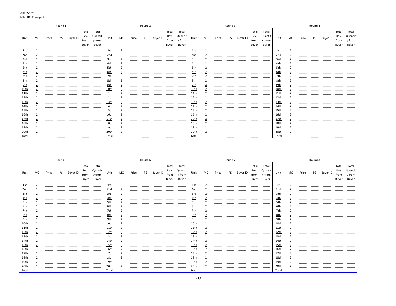Seller Sheet Seller ID Foreign S Round 1 Round 2 Round 3 Round 4 Total Total Total Total Total Total Total Total Quantit Rev. Quantit Rev. Quantit Rev. Quantit Rev. Unit МC Price PS Buyer ID Unit МC Price PS Buyer ID Unit МC Price **PS** Buyer ID Unit MC Price PS Buyer ID from y from from y from from y from from y from Buyer Buyer Buyer Buyer Buyer Buyer Buyer Buyer  $1st$  $1st$  $1st$  $1st$  $\overline{2}$  $\overline{2}$  $\overline{2}$  $\overline{2}$ 2nd  $\overline{2}$ 2nd  $\overline{2}$  $2nd$ 2nd  $\overline{2}$  $\overline{2}$  $3rd$  $3rd$  $3rd$  $3rd$  $\overline{2}$  $\overline{2}$  $\overline{2}$  $\overline{2}$  $4th$  $4th$  $4th$  $4th$  $\overline{2}$  $\overline{2}$  $\overline{2}$  $\overline{2}$  $5th$  $5th$  $5th$  $5th$  $\overline{2}$  $\overline{2}$  $\overline{2}$  $\overline{2}$ 6<sub>th</sub>  $\overline{2}$  $6th$  $\overline{2}$  $6th$  $\overline{2}$  $6th$  $\overline{2}$  $7th$  $7th$  $7th$  $7th$  $\overline{2}$  $\overline{2}$  $\overline{2}$  $\overline{2}$  $8th$  $8th$  $8th$  $8th$  $\overline{2}$  $\overline{2}$  $\overline{2}$  $\overline{2}$  $9th$  $9th$  $9th$  $9th$  $\overline{2}$  $\overline{2}$  $\overline{2}$  $\overline{2}$  $10th$ 10th  $10th$  $10th$  $\overline{2}$  $\overline{2}$  $\overline{2}$  $\overline{2}$  $11th$  $11th$  $11th$  $11th$  $\overline{2}$  $\overline{2}$  $\overline{2}$  $12th$  $\overline{2}$  $12th$  $12th$  $12th$  $\overline{2}$  $\overline{2}$  $13th$  $13th$  $13th$  $13th$  $\overline{2}$  $\overline{2}$  $\overline{2}$  $\overline{2}$ 14th 14th 14th  $14th$  $\overline{2}$  $\overline{2}$  $\overline{2}$  $\overline{2}$  $15<sub>th</sub>$  $15th$  $15th$  $15th$  $\overline{2}$  $\overline{2}$  $\overline{2}$  $\overline{2}$  $16th$  $16th$  $16th$  $16th$  $\overline{2}$  $\overline{2}$  $\overline{2}$  $\overline{2}$  $17th$  $\overline{2}$  $17th$  $\overline{2}$  $17th$  $\overline{2}$  $17th$  $\overline{2}$ 18th  $\overline{2}$  $18th$  $\overline{2}$ 18th  $\overline{2}$  $18th$  $\overline{2}$  $19th$ <u>19th</u>  $19th$  $19th$  $\overline{2}$  $\overline{2}$  $\overline{2}$  $\overline{2}$  $20th$  $\overline{2}$  $20th$  $\overline{2}$  $20th$  $\overline{2}$  $20th$  $\overline{2}$ Total Total Total Total Round 5 Round 6 Round<sub>7</sub> Round 8 Total Total Total Total Total Total Total Total Rev. Rev. Rev. Rev. Quantit Quantit Quantit Quantit PS Buyer ID Unit PS **Buyer ID** PS Buyer ID PS Buyer ID Unit МC Price МC Price Unit МC Price Unit МC Price from y from from y from from y from from y from Buyer Buyer Buyer Buyer Buyer Buyer **Buver** Buyer  $1st$  $1st$  $1st$  $1st$  $\overline{2}$  $\overline{2}$  $\overline{2}$  $\overline{2}$  $2nd$  $\overline{2}$  $2nd$  $\overline{2}$  $2nd$  $\overline{2}$  $2nd$  $\overline{2}$  $3rd$  $3rd$  $3rd$  $3rd$  $\overline{2}$  $\overline{2}$  $\overline{2}$  $\overline{2}$  $4th$  $4th$  $4th$  $4th$  $\overline{2}$  $\overline{2}$  $\overline{2}$  $\overline{2}$  $5th$  $5th$  $5th$  $5th$  $\overline{2}$  $\overline{2}$  $\overline{2}$  $\overline{2}$  $6th$  $6th$  $6th$  $6th$  $\overline{2}$  $\overline{2}$  $\overline{2}$  $\overline{2}$  $7th$  $\overline{2}$  $2th$  $\overline{2}$  $7th$  $\overline{2}$  $2th$  $\overline{2}$  $8th$  $8th$  $8th$  $8th$  $\overline{2}$  $\overline{2}$  $\overline{2}$  $\overline{2}$  $9th$  $9th$  $9th$  $9th$  $\overline{2}$  $\overline{2}$  $\overline{2}$  $\overline{2}$ 10th  $10th$  $10th$  $10th$  $\overline{2}$  $\overline{2}$  $\overline{2}$  $\overline{2}$  $11th$  $11th$  $11th$  $11th$  $\overline{\mathbf{2}}$  $\overline{2}$  $\overline{2}$  $12th$ 12th  $12th$  $12th$  $\overline{2}$  $\overline{2}$  $\overline{2}$  $\overline{2}$  $13th$  $13th$  $13th$  $13th$  $\overline{2}$  $\overline{2}$  $\overline{2}$  $\overline{2}$ 14th  $\overline{2}$ 14th  $\overline{2}$  $14th$  $\overline{2}$  $14th$  $\overline{2}$ 15th  $15th$  $15th$  $15th$  $\overline{2}$  $\overline{2}$  $\overline{2}$  $\overline{2}$  $16th$  $16th$  $16th$  $16th$  $\overline{2}$  $\overline{2}$  $\overline{2}$  $\overline{2}$  $17th$  $17th$  $17th$ 17th  $\overline{2}$  $\overline{2}$  $\overline{2}$  $\overline{2}$ 18th  $18th$  $\overline{2}$ 18th  $\overline{2}$ 18th  $\overline{2}$  $\overline{2}$  $19th$  $19th$  $19th$  $19th$  $\overline{2}$  $\overline{2}$  $\overline{2}$  $\overline{2}$  $20th$  $20th$  $20th$  $20th$  $\overline{2}$  $\overline{2}$  $\overline{2}$  $\overline{2}$ 

Total

Total

Total

Total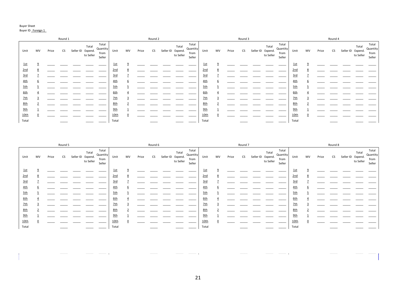#### Buyer Sheet

#### Buyer ID Foreign 1

|            |    |       | Round 1 |                                         |                                     |       |    |       | Round 2 |                                         |                                     |             |    |       | Round 3 |                                         |                                     |            |    |       | Round 4 |                                         |                                     |
|------------|----|-------|---------|-----------------------------------------|-------------------------------------|-------|----|-------|---------|-----------------------------------------|-------------------------------------|-------------|----|-------|---------|-----------------------------------------|-------------------------------------|------------|----|-------|---------|-----------------------------------------|-------------------------------------|
| Unit       | MV | Price | CS      | Total<br>Seller ID Expend.<br>to Seller | Total<br>Quantity<br>from<br>Seller | Unit  | MV | Price | CS      | Total<br>Seller ID Expend.<br>to Seller | Total<br>Quantity<br>from<br>Seller | Unit        | MV | Price | CS      | Total<br>Seller ID Expend.<br>to Seller | Total<br>Quantity<br>from<br>Seller | Unit       | MV | Price | CS      | Total<br>Seller ID Expend.<br>to Seller | Total<br>Quantity<br>from<br>Seller |
| 1st        |    |       |         |                                         |                                     | 1st   |    |       |         |                                         |                                     | <u>1st</u>  |    |       |         |                                         |                                     | 1st        |    |       |         |                                         |                                     |
| 2nd        |    |       |         |                                         |                                     | 2nd   |    |       |         |                                         |                                     | 2nd         |    |       |         |                                         |                                     | 2nd        |    |       |         |                                         |                                     |
| 3rd        |    |       |         |                                         |                                     | 3rd   |    |       |         |                                         |                                     | 3rd         |    |       |         |                                         |                                     | 3rd        |    |       |         |                                         |                                     |
| 4th        |    |       |         |                                         |                                     | 4th   |    |       |         |                                         |                                     | 4th         |    |       |         |                                         |                                     | <u>4th</u> |    |       |         |                                         |                                     |
| 5th        |    |       |         |                                         |                                     | 5th   |    |       |         |                                         |                                     | 5th         |    |       |         |                                         |                                     | 5th        |    |       |         |                                         |                                     |
| 6th        |    |       |         |                                         |                                     | 6th   |    |       |         |                                         |                                     | 6th         |    |       |         |                                         |                                     | 6th        |    |       |         |                                         |                                     |
| <b>7th</b> |    |       |         |                                         |                                     | 2th   |    |       |         |                                         |                                     | 2th         |    |       |         |                                         |                                     | 2th        |    |       |         |                                         |                                     |
| 8th        |    |       |         |                                         |                                     | 8th   |    |       |         |                                         |                                     | 8th         |    |       |         |                                         |                                     | 8th        |    |       |         |                                         |                                     |
| 9th        |    |       |         |                                         |                                     | 9th   |    |       |         |                                         |                                     | 9th         |    |       |         |                                         |                                     | 9th        |    |       |         |                                         |                                     |
| 10th       |    |       |         |                                         |                                     | 10th  |    |       |         |                                         |                                     | <u>10th</u> |    |       |         |                                         |                                     | 10th       |    |       |         |                                         |                                     |
| Total      |    |       |         |                                         |                                     | Total |    |       |         |                                         |                                     | Total       |    |       |         |                                         |                                     | Total      |    |       |         |                                         |                                     |

|            |    |       | Round 5 |                                         |                                     |            |    |       | Round 6 |                                         |                                     |             |          |       | Round 7   |                                         |                                     |       |    |       | Round 8   |                                         |                                     |
|------------|----|-------|---------|-----------------------------------------|-------------------------------------|------------|----|-------|---------|-----------------------------------------|-------------------------------------|-------------|----------|-------|-----------|-----------------------------------------|-------------------------------------|-------|----|-------|-----------|-----------------------------------------|-------------------------------------|
| Unit       | MV | Price | CS      | Total<br>Seller ID Expend.<br>to Seller | Total<br>Quantity<br>from<br>Seller | Unit       | MV | Price | CS      | Total<br>Seller ID Expend.<br>to Seller | Total<br>Quantity<br>from<br>Seller | Unit        | MV       | Price | <b>CS</b> | Total<br>Seller ID Expend.<br>to Seller | Total<br>Quantity<br>from<br>Seller | Unit  | MV | Price | <b>CS</b> | Total<br>Seller ID Expend.<br>to Seller | Total<br>Quantity<br>from<br>Seller |
| <u>1st</u> |    |       |         |                                         |                                     | <u>1st</u> |    |       |         |                                         |                                     | 1st         | $\Omega$ |       |           |                                         |                                     | 1st   |    |       |           |                                         |                                     |
| 2nd        | 8  |       |         |                                         |                                     | 2nd        |    |       |         |                                         |                                     | 2nd         | ŏ        |       |           |                                         |                                     | 2nd   |    |       |           |                                         |                                     |
| 3rd        |    |       |         |                                         |                                     | 3rd        |    |       |         |                                         |                                     | 3rd         |          |       |           |                                         |                                     | 3rd   |    |       |           |                                         |                                     |
| <u>4th</u> |    |       |         |                                         |                                     | 4th        |    |       |         |                                         |                                     | 4th         |          |       |           |                                         |                                     | 4th   |    |       |           |                                         |                                     |
| 5th        |    |       |         |                                         |                                     | 5th        |    |       |         |                                         |                                     | 5th         |          |       |           |                                         |                                     | 5th   |    |       |           |                                         |                                     |
| <u>6th</u> |    |       |         |                                         |                                     | 6th        |    |       |         |                                         |                                     | 6th         |          |       |           |                                         |                                     | 6th   |    |       |           |                                         |                                     |
| 2th        |    |       |         |                                         |                                     | 7th        |    |       |         |                                         |                                     | 7th         |          |       |           |                                         |                                     | 7th   |    |       |           |                                         |                                     |
| <u>8th</u> |    |       |         |                                         |                                     | 8th        |    |       |         |                                         |                                     | 8th         |          |       |           |                                         |                                     | 8th   |    |       |           |                                         |                                     |
| 9th        |    |       |         |                                         |                                     | 9th        |    |       |         |                                         |                                     | 9th         |          |       |           |                                         |                                     | 9th   |    |       |           |                                         |                                     |
| 10th       |    |       |         |                                         |                                     | 10th       |    |       |         |                                         |                                     | <u>10th</u> |          |       |           |                                         |                                     | 10th  |    |       |           |                                         |                                     |
| Total      |    |       |         |                                         |                                     | Total      |    |       |         |                                         |                                     | Total       |          |       |           |                                         |                                     | Total |    |       |           |                                         |                                     |

Total  $\bot$  , the local  $\bot$  and  $\bot$  and  $\bot$  and  $\bot$  and  $\bot$  and  $\bot$  and  $\bot$